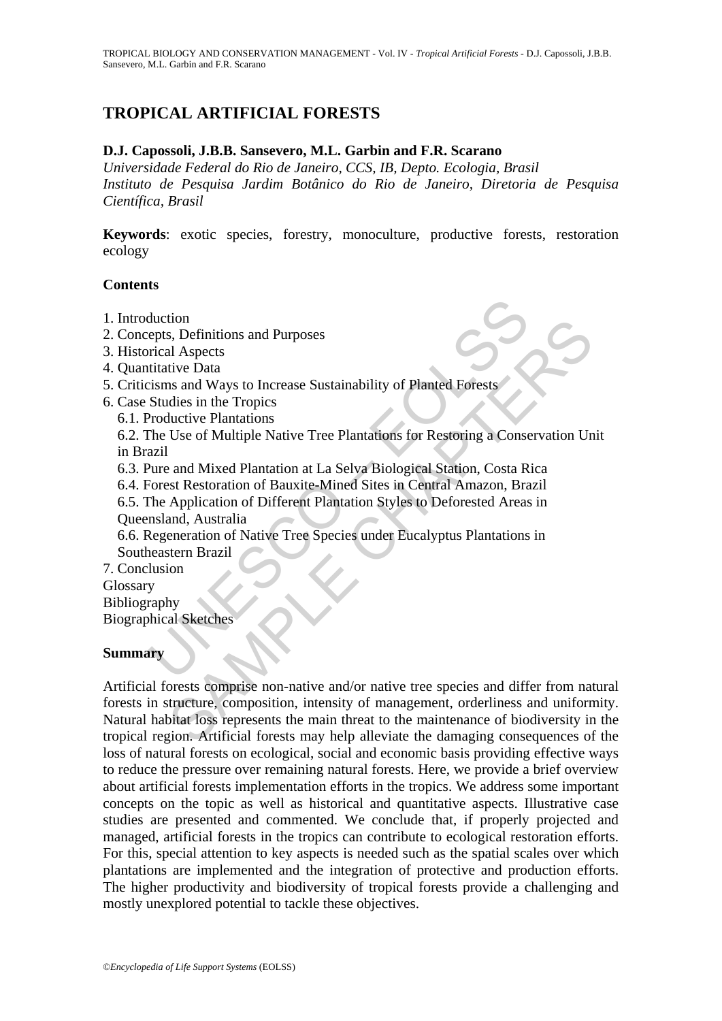# **TROPICAL ARTIFICIAL FORESTS**

### **D.J. Capossoli, J.B.B. Sansevero, M.L. Garbin and F.R. Scarano**

*Universidade Federal do Rio de Janeiro, CCS, IB, Depto. Ecologia, Brasil Instituto de Pesquisa Jardim Botânico do Rio de Janeiro, Diretoria de Pesquisa Científica, Brasil* 

**Keywords**: exotic species, forestry, monoculture, productive forests, restoration ecology

#### **Contents**

- 1. Introduction
- 2. Concepts, Definitions and Purposes
- 3. Historical Aspects
- 4. Quantitative Data
- 5. Criticisms and Ways to Increase Sustainability of Planted Forests
- 6. Case Studies in the Tropics
	- 6.1. Productive Plantations

 6.2. The Use of Multiple Native Tree Plantations for Restoring a Conservation Unit in Brazil

6.3. Pure and Mixed Plantation at La Selva Biological Station, Costa Rica

6.4. Forest Restoration of Bauxite-Mined Sites in Central Amazon, Brazil

duction<br>epts, Definitions and Purposes<br>rical Aspects<br>titative Data<br>tisms and Ways to Increase Sustainability of Planted Forests<br>Studies in the Tropics<br>Productive Plantations<br>Productive Plantations<br>azil<br>Pure and Mixed Plant 6.5. The Application of Different Plantation Styles to Deforested Areas in Queensland, Australia

 6.6. Regeneration of Native Tree Species under Eucalyptus Plantations in Southeastern Brazil

7. Conclusion Glossary Bibliography

Biographical Sketches

### **Summary**

ton<br>
s. Definitions and Purposes<br>
s. Definitions and Purposes<br>
al Aspects<br>
al Aspects<br>
al avays to Increase Sustainability of Planted Forests<br>
dides in the Tropics<br>
ductive Plantations<br>
Use of Multiple Native Tree Plantati Artificial forests comprise non-native and/or native tree species and differ from natural forests in structure, composition, intensity of management, orderliness and uniformity. Natural habitat loss represents the main threat to the maintenance of biodiversity in the tropical region. Artificial forests may help alleviate the damaging consequences of the loss of natural forests on ecological, social and economic basis providing effective ways to reduce the pressure over remaining natural forests. Here, we provide a brief overview about artificial forests implementation efforts in the tropics. We address some important concepts on the topic as well as historical and quantitative aspects. Illustrative case studies are presented and commented. We conclude that, if properly projected and managed, artificial forests in the tropics can contribute to ecological restoration efforts. For this, special attention to key aspects is needed such as the spatial scales over which plantations are implemented and the integration of protective and production efforts. The higher productivity and biodiversity of tropical forests provide a challenging and mostly unexplored potential to tackle these objectives.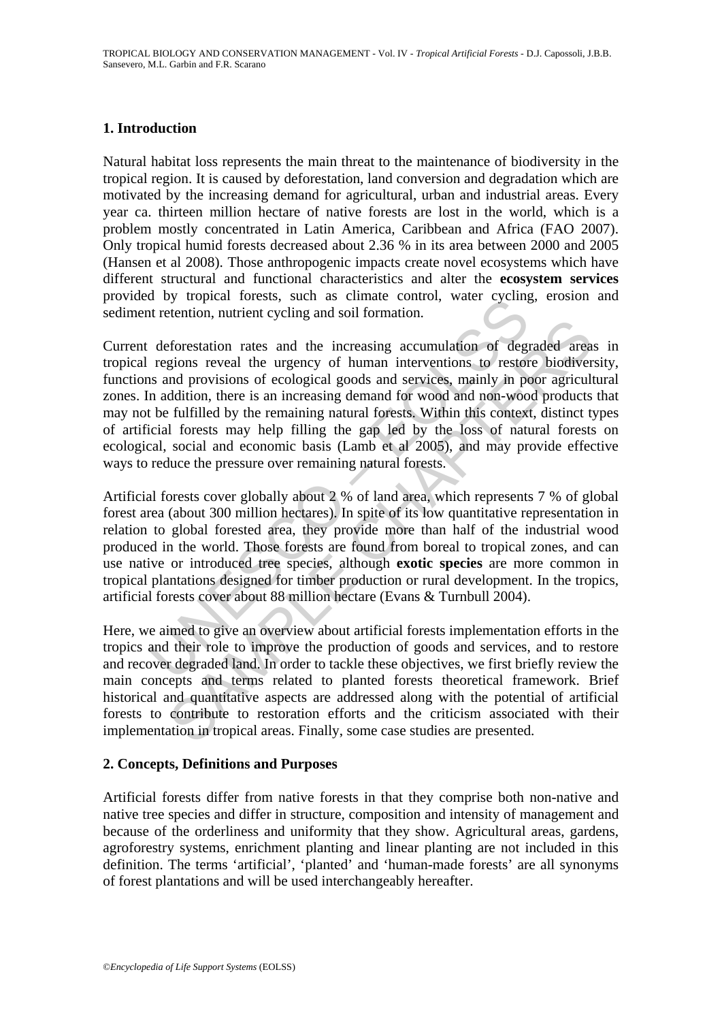## **1. Introduction**

Natural habitat loss represents the main threat to the maintenance of biodiversity in the tropical region. It is caused by deforestation, land conversion and degradation which are motivated by the increasing demand for agricultural, urban and industrial areas. Every year ca. thirteen million hectare of native forests are lost in the world, which is a problem mostly concentrated in Latin America, Caribbean and Africa (FAO 2007). Only tropical humid forests decreased about 2.36 % in its area between 2000 and 2005 (Hansen et al 2008). Those anthropogenic impacts create novel ecosystems which have different structural and functional characteristics and alter the **ecosystem services** provided by tropical forests, such as climate control, water cycling, erosion and sediment retention, nutrient cycling and soil formation.

If the voltair is a strainer control, water cycling<br>the retention, nutrient cycling and soil formation.<br>deforestation rates and the increasing accumulation of degregions reveal the urgency of human interventions to restor<br> reforestation rates and the increasing accumulation of degraded area<br>gions reveal the urgency of human interventions to restore biodiver<br>and provisions of ecological goods and services, mainly in poor agricult<br>didition, th Current deforestation rates and the increasing accumulation of degraded areas in tropical regions reveal the urgency of human interventions to restore biodiversity, functions and provisions of ecological goods and services, mainly in poor agricultural zones. In addition, there is an increasing demand for wood and non-wood products that may not be fulfilled by the remaining natural forests. Within this context, distinct types of artificial forests may help filling the gap led by the loss of natural forests on ecological, social and economic basis (Lamb et al 2005), and may provide effective ways to reduce the pressure over remaining natural forests.

Artificial forests cover globally about 2 % of land area, which represents 7 % of global forest area (about 300 million hectares). In spite of its low quantitative representation in relation to global forested area, they provide more than half of the industrial wood produced in the world. Those forests are found from boreal to tropical zones, and can use native or introduced tree species, although **exotic species** are more common in tropical plantations designed for timber production or rural development. In the tropics, artificial forests cover about 88 million hectare (Evans & Turnbull 2004).

Here, we aimed to give an overview about artificial forests implementation efforts in the tropics and their role to improve the production of goods and services, and to restore and recover degraded land. In order to tackle these objectives, we first briefly review the main concepts and terms related to planted forests theoretical framework. Brief historical and quantitative aspects are addressed along with the potential of artificial forests to contribute to restoration efforts and the criticism associated with their implementation in tropical areas. Finally, some case studies are presented.

### **2. Concepts, Definitions and Purposes**

Artificial forests differ from native forests in that they comprise both non-native and native tree species and differ in structure, composition and intensity of management and because of the orderliness and uniformity that they show. Agricultural areas, gardens, agroforestry systems, enrichment planting and linear planting are not included in this definition. The terms 'artificial', 'planted' and 'human-made forests' are all synonyms of forest plantations and will be used interchangeably hereafter.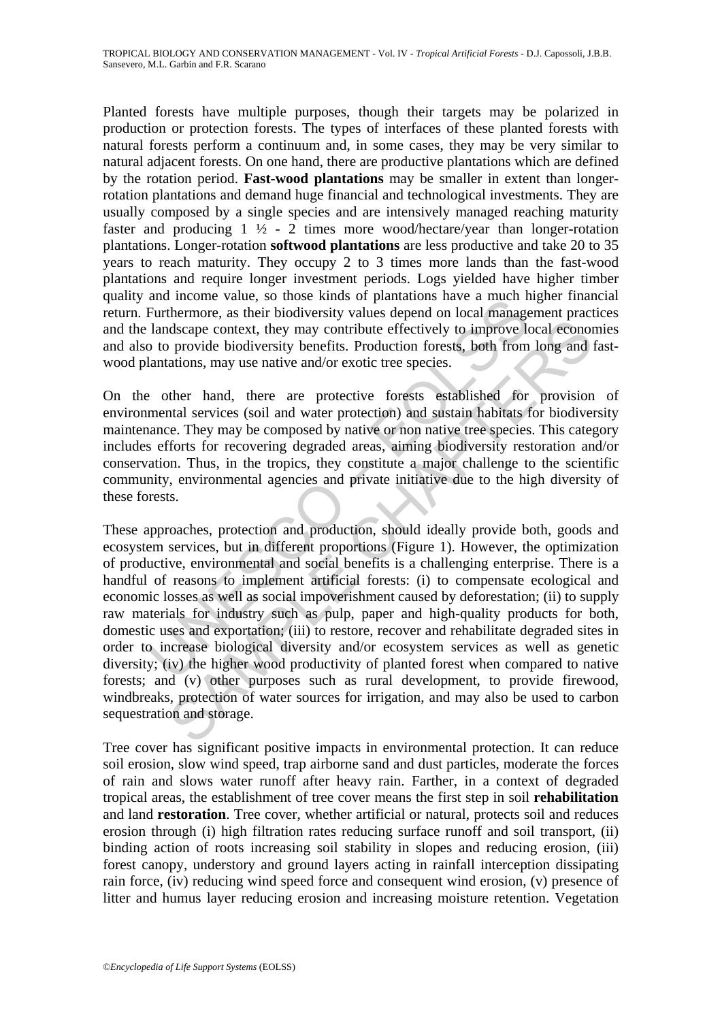Planted forests have multiple purposes, though their targets may be polarized in production or protection forests. The types of interfaces of these planted forests with natural forests perform a continuum and, in some cases, they may be very similar to natural adjacent forests. On one hand, there are productive plantations which are defined by the rotation period. **Fast-wood plantations** may be smaller in extent than longerrotation plantations and demand huge financial and technological investments. They are usually composed by a single species and are intensively managed reaching maturity faster and producing  $1 \frac{1}{2} - 2$  times more wood/hectare/year than longer-rotation plantations. Longer-rotation **softwood plantations** are less productive and take 20 to 35 years to reach maturity. They occupy 2 to 3 times more lands than the fast-wood plantations and require longer investment periods. Logs yielded have higher timber quality and income value, so those kinds of plantations have a much higher financial return. Furthermore, as their biodiversity values depend on local management practices and the landscape context, they may contribute effectively to improve local economies and also to provide biodiversity benefits. Production forests, both from long and fastwood plantations, may use native and/or exotic tree species.

On the other hand, there are protective forests established for provision of environmental services (soil and water protection) and sustain habitats for biodiversity maintenance. They may be composed by native or non native tree species. This category includes efforts for recovering degraded areas, aiming biodiversity restoration and/or conservation. Thus, in the tropics, they constitute a major challenge to the scientific community, environmental agencies and private initiative due to the high diversity of these forests.

and notone value, so those kinds of patantanos lave a inter in<br>Furthermore, as their biodiversity values depend on local management<br>Furthermore, as their biodiversity values depend on local management<br>and landscape context discape context, they may contribute effectively to improve local econom<br>o provide biodiversity benefits. Production forests, both from long and<br>ations, may use native and/or exotic tree species.<br>there hand, there are prot These approaches, protection and production, should ideally provide both, goods and ecosystem services, but in different proportions (Figure 1). However, the optimization of productive, environmental and social benefits is a challenging enterprise. There is a handful of reasons to implement artificial forests: (i) to compensate ecological and economic losses as well as social impoverishment caused by deforestation; (ii) to supply raw materials for industry such as pulp, paper and high-quality products for both, domestic uses and exportation; (iii) to restore, recover and rehabilitate degraded sites in order to increase biological diversity and/or ecosystem services as well as genetic diversity; (iv) the higher wood productivity of planted forest when compared to native forests; and (v) other purposes such as rural development, to provide firewood, windbreaks, protection of water sources for irrigation, and may also be used to carbon sequestration and storage.

Tree cover has significant positive impacts in environmental protection. It can reduce soil erosion, slow wind speed, trap airborne sand and dust particles, moderate the forces of rain and slows water runoff after heavy rain. Farther, in a context of degraded tropical areas, the establishment of tree cover means the first step in soil **rehabilitation** and land **restoration**. Tree cover, whether artificial or natural, protects soil and reduces erosion through (i) high filtration rates reducing surface runoff and soil transport, (ii) binding action of roots increasing soil stability in slopes and reducing erosion, (iii) forest canopy, understory and ground layers acting in rainfall interception dissipating rain force, (iv) reducing wind speed force and consequent wind erosion, (v) presence of litter and humus layer reducing erosion and increasing moisture retention. Vegetation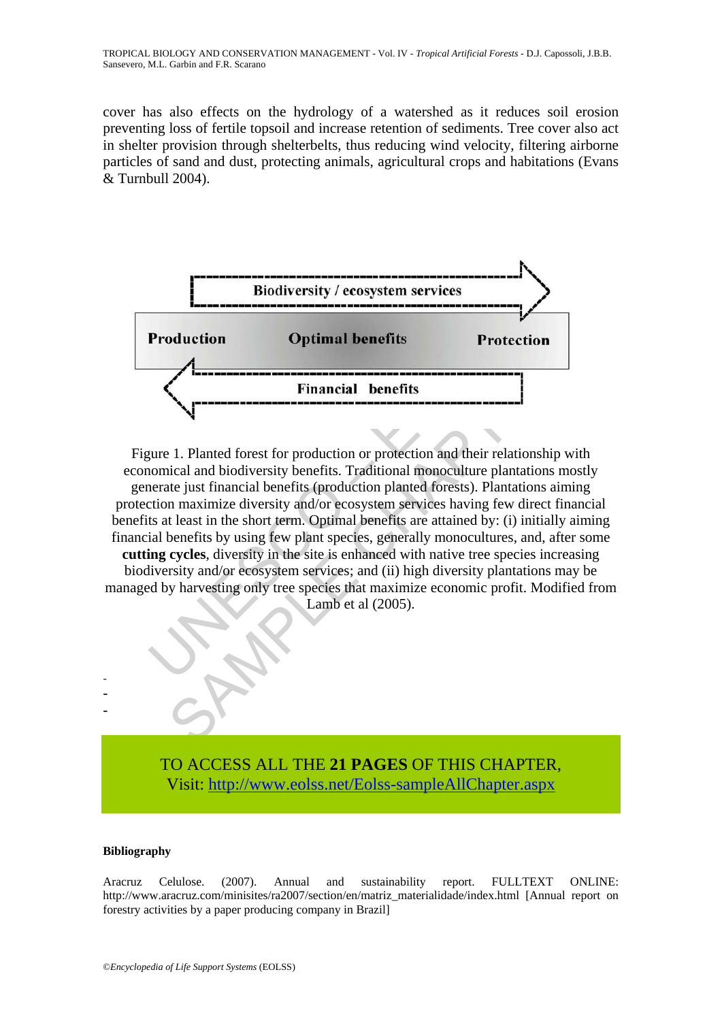cover has also effects on the hydrology of a watershed as it reduces soil erosion preventing loss of fertile topsoil and increase retention of sediments. Tree cover also act in shelter provision through shelterbelts, thus reducing wind velocity, filtering airborne particles of sand and dust, protecting animals, agricultural crops and habitations (Evans & Turnbull 2004).



Production<br>
Production<br>
Optimal benefits<br>
Protecti<br>
Financial benefits<br>
Protection<br>
Financial benefits<br>
University Protection or protection and their relation<br>
University and interests. Traditional monoculture plantation<br> **Example 18 The Conduction Conduction**<br> **SAMPLE CONTEX CONTEX CONTEX CONTEX CONTEX CONTEX CONTEX CONTENT (SCALART SCALART SCALART SCALART SCALART SCALART SCALART SUBMATERS (SUPPRESS) THE USE OF SUPPRESS (SUPPRESS) AND INTE** Figure 1. Planted forest for production or protection and their relationship with economical and biodiversity benefits. Traditional monoculture plantations mostly generate just financial benefits (production planted forests). Plantations aiming protection maximize diversity and/or ecosystem services having few direct financial benefits at least in the short term. Optimal benefits are attained by: (i) initially aiming financial benefits by using few plant species, generally monocultures, and, after some **cutting cycles**, diversity in the site is enhanced with native tree species increasing biodiversity and/or ecosystem services; and (ii) high diversity plantations may be managed by harvesting only tree species that maximize economic profit. Modified from Lamb et al (2005).

> TO ACCESS ALL THE **21 PAGES** OF THIS CHAPTER, Visit: [http://www.eolss.net/Eolss-sampleAllChapter.aspx](https://www.eolss.net/ebooklib/sc_cart.aspx?File=E6-142-TB-07)

#### **Bibliography**

- - -

Aracruz Celulose. (2007). Annual and sustainability report. FULLTEXT ONLINE: http://www.aracruz.com/minisites/ra2007/section/en/matriz\_materialidade/index.html [Annual report on forestry activities by a paper producing company in Brazil]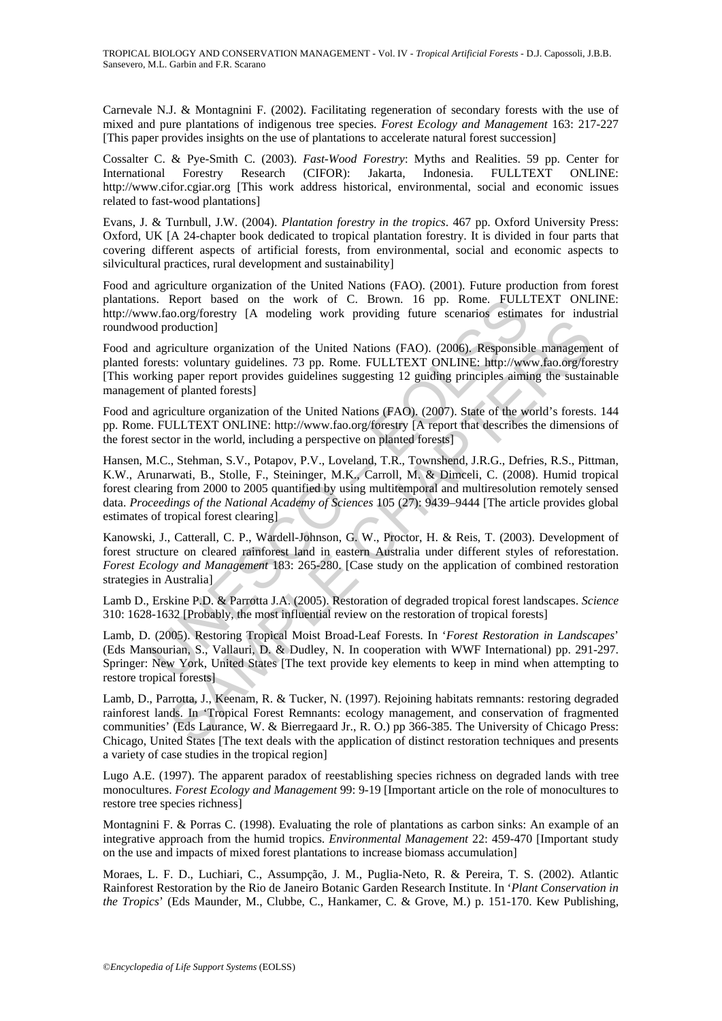Carnevale N.J. & Montagnini F. (2002). Facilitating regeneration of secondary forests with the use of mixed and pure plantations of indigenous tree species. *Forest Ecology and Management* 163: 217-227 [This paper provides insights on the use of plantations to accelerate natural forest succession]

Cossalter C. & Pye-Smith C. (2003). *Fast-Wood Forestry*: Myths and Realities. 59 pp. Center for International Forestry Research (CIFOR): Jakarta, Indonesia. FULLTEXT ONLINE: http://www.cifor.cgiar.org [This work address historical, environmental, social and economic issues related to fast-wood plantations]

Evans, J. & Turnbull, J.W. (2004). *Plantation forestry in the tropics*. 467 pp. Oxford University Press: Oxford, UK [A 24-chapter book dedicated to tropical plantation forestry. It is divided in four parts that covering different aspects of artificial forests, from environmental, social and economic aspects to silvicultural practices, rural development and sustainability]

Food and agriculture organization of the United Nations (FAO). (2001). Future production from forest plantations. Report based on the work of C. Brown. 16 pp. Rome. FULLTEXT ONLINE: http://www.fao.org/forestry [A modeling work providing future scenarios estimates for industrial roundwood production]

Food and agriculture organization of the United Nations (FAO). (2006). Responsible management of planted forests: voluntary guidelines. 73 pp. Rome. FULLTEXT ONLINE: http://www.fao.org/forestry [This working paper report provides guidelines suggesting 12 guiding principles aiming the sustainable management of planted forests]

Food and agriculture organization of the United Nations (FAO). (2007). State of the world's forests. 144 pp. Rome. FULLTEXT ONLINE: http://www.fao.org/forestry [A report that describes the dimensions of the forest sector in the world, including a perspective on planted forests]

Is. Report based on the work of C. Brown. 16 pp. Rome. FULL<br>
or foo.org/forestry [A modeling work providing future scenarios estimated<br>
org/forestry [A modeling work providing future scenarios estimated<br>
a priculture organ roduction]<br>
riculture organization of the United Nations (FAO). (2006). Responsible manageme<br>
riculture organization of the United Nations (FAO). (2007). State of the world's forest<br>
graper report provides guidelines sugge Hansen, M.C., Stehman, S.V., Potapov, P.V., Loveland, T.R., Townshend, J.R.G., Defries, R.S., Pittman, K.W., Arunarwati, B., Stolle, F., Steininger, M.K., Carroll, M. & Dimceli, C. (2008). Humid tropical forest clearing from 2000 to 2005 quantified by using multitemporal and multiresolution remotely sensed data. *Proceedings of the National Academy of Sciences* 105 (27): 9439–9444 [The article provides global estimates of tropical forest clearing]

Kanowski, J., Catterall, C. P., Wardell-Johnson, G. W., Proctor, H. & Reis, T. (2003). Development of forest structure on cleared rainforest land in eastern Australia under different styles of reforestation. *Forest Ecology and Management* 183: 265-280. [Case study on the application of combined restoration strategies in Australia]

Lamb D., Erskine P.D. & Parrotta J.A. (2005). Restoration of degraded tropical forest landscapes. *Science* 310: 1628-1632 [Probably, the most influential review on the restoration of tropical forests]

Lamb, D. (2005). Restoring Tropical Moist Broad-Leaf Forests. In '*Forest Restoration in Landscapes*' (Eds Mansourian, S., Vallauri, D. & Dudley, N. In cooperation with WWF International) pp. 291-297. Springer: New York, United States [The text provide key elements to keep in mind when attempting to restore tropical forests]

Lamb, D., Parrotta, J., Keenam, R. & Tucker, N. (1997). Rejoining habitats remnants: restoring degraded rainforest lands. In 'Tropical Forest Remnants: ecology management, and conservation of fragmented communities' (Eds Laurance, W. & Bierregaard Jr., R. O.) pp 366-385. The University of Chicago Press: Chicago, United States [The text deals with the application of distinct restoration techniques and presents a variety of case studies in the tropical region]

Lugo A.E. (1997). The apparent paradox of reestablishing species richness on degraded lands with tree monocultures. *Forest Ecology and Management* 99: 9-19 [Important article on the role of monocultures to restore tree species richness]

Montagnini F. & Porras C. (1998). Evaluating the role of plantations as carbon sinks: An example of an integrative approach from the humid tropics. *Environmental Management* 22: 459-470 [Important study on the use and impacts of mixed forest plantations to increase biomass accumulation]

Moraes, L. F. D., Luchiari, C., Assumpção, J. M., Puglia-Neto, R. & Pereira, T. S. (2002). Atlantic Rainforest Restoration by the Rio de Janeiro Botanic Garden Research Institute. In '*Plant Conservation in the Tropics*' (Eds Maunder, M., Clubbe, C., Hankamer, C. & Grove, M.) p. 151-170. Kew Publishing,